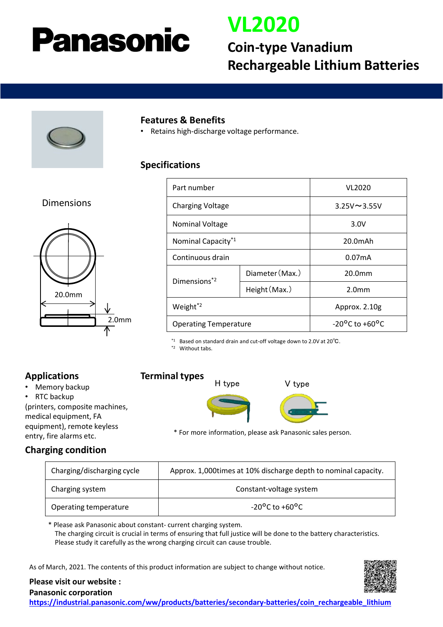# Panasonic

# **VL2020**

## **Coin-type Vanadium Rechargeable Lithium Batteries**



#### **Features & Benefits**

• Retains high-discharge voltage performance.

#### **Specifications**

#### Dimensions



| Part number                    |                 | VL2020                             |
|--------------------------------|-----------------|------------------------------------|
| <b>Charging Voltage</b>        |                 | $3.25V \sim 3.55V$                 |
| <b>Nominal Voltage</b>         |                 | 3.0V                               |
| Nominal Capacity <sup>*1</sup> |                 | $20.0m$ Ah                         |
| Continuous drain               |                 | 0.07 <sub>m</sub> A                |
| Dimensions <sup>*2</sup>       | Diameter (Max.) | 20.0mm                             |
|                                | Height (Max.)   | 2.0 <sub>mm</sub>                  |
| Weight <sup>*2</sup>           |                 | Approx. 2.10g                      |
| <b>Operating Temperature</b>   |                 | $-20^{\circ}$ C to $+60^{\circ}$ C |

\*1 Based on standard drain and cut-off voltage down to 2.0V at 20℃.

\*2 Without tabs.

## **Applications**

- Memory backup
- RTC backup

(printers, composite machines, medical equipment, FA equipment), remote keyless entry, fire alarms etc.

## **Terminal types**



\* For more information, please ask Panasonic sales person.

## **Charging condition**

| Charging/discharging cycle | Approx. 1,000 times at 10% discharge depth to nominal capacity. |  |
|----------------------------|-----------------------------------------------------------------|--|
| Charging system            | Constant-voltage system                                         |  |
| Operating temperature      | $-20^{\circ}$ C to $+60^{\circ}$ C                              |  |

\* Please ask Panasonic about constant- current charging system. The charging circuit is crucial in terms of ensuring that full justice will be done to the battery characteristics. Please study it carefully as the wrong charging circuit can cause trouble.

As of March, 2021. The contents of this product information are subject to change without notice.



#### **Please visit our website : Panasonic corporation**

**[https://industrial.panasonic.com/ww/products/batteries/secondary-batteries/coin\\_rechargeable\\_lithium](https://industrial.panasonic.com/ww/products/batteries/secondary-batteries/coin_rechargeable_lithium)**